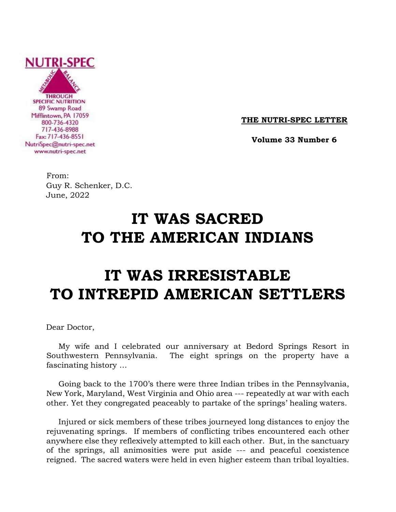

**THE NUTRI-SPEC LETTER**

 **Volume 33 Number 6**

From: Guy R. Schenker, D.C. June, 2022

## **IT WAS SACRED TO THE AMERICAN INDIANS**

# **IT WAS IRRESISTABLE TO INTREPID AMERICAN SETTLERS**

Dear Doctor,

 My wife and I celebrated our anniversary at Bedord Springs Resort in Southwestern Pennsylvania. The eight springs on the property have a fascinating history …

 Going back to the 1700's there were three Indian tribes in the Pennsylvania, New York, Maryland, West Virginia and Ohio area --- repeatedly at war with each other. Yet they congregated peaceably to partake of the springs' healing waters.

 Injured or sick members of these tribes journeyed long distances to enjoy the rejuvenating springs. If members of conflicting tribes encountered each other anywhere else they reflexively attempted to kill each other. But, in the sanctuary of the springs, all animosities were put aside --- and peaceful coexistence reigned. The sacred waters were held in even higher esteem than tribal loyalties.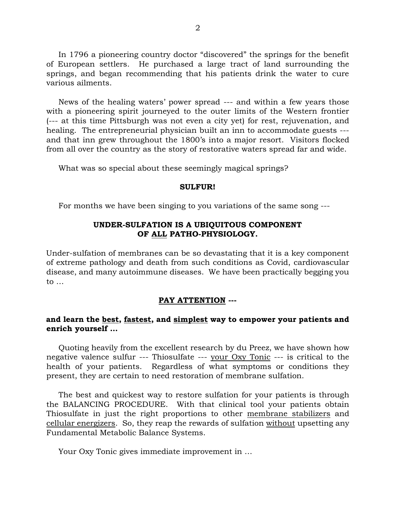In 1796 a pioneering country doctor "discovered" the springs for the benefit of European settlers. He purchased a large tract of land surrounding the springs, and began recommending that his patients drink the water to cure various ailments.

 News of the healing waters' power spread --- and within a few years those with a pioneering spirit journeyed to the outer limits of the Western frontier (--- at this time Pittsburgh was not even a city yet) for rest, rejuvenation, and healing. The entrepreneurial physician built an inn to accommodate guests -- and that inn grew throughout the 1800's into a major resort. Visitors flocked from all over the country as the story of restorative waters spread far and wide.

What was so special about these seemingly magical springs?

#### **SULFUR!**

For months we have been singing to you variations of the same song ---

#### **UNDER-SULFATION IS A UBIQUITOUS COMPONENT OF ALL PATHO-PHYSIOLOGY.**

Under-sulfation of membranes can be so devastating that it is a key component of extreme pathology and death from such conditions as Covid, cardiovascular disease, and many autoimmune diseases. We have been practically begging you to …

#### **PAY ATTENTION ---**

#### **and learn the best, fastest, and simplest way to empower your patients and enrich yourself …**

 Quoting heavily from the excellent research by du Preez, we have shown how negative valence sulfur --- Thiosulfate --- your Oxy Tonic --- is critical to the health of your patients. Regardless of what symptoms or conditions they present, they are certain to need restoration of membrane sulfation.

 The best and quickest way to restore sulfation for your patients is through the BALANCING PROCEDURE. With that clinical tool your patients obtain Thiosulfate in just the right proportions to other membrane stabilizers and cellular energizers. So, they reap the rewards of sulfation without upsetting any Fundamental Metabolic Balance Systems.

Your Oxy Tonic gives immediate improvement in …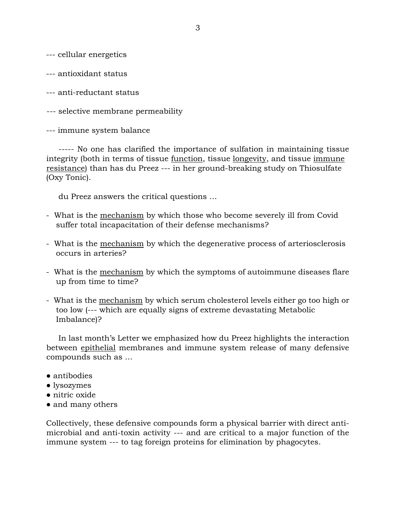--- cellular energetics

--- antioxidant status

--- anti-reductant status

--- selective membrane permeability

--- immune system balance

 ----- No one has clarified the importance of sulfation in maintaining tissue integrity (both in terms of tissue function, tissue longevity, and tissue immune resistance) than has du Preez --- in her ground-breaking study on Thiosulfate (Oxy Tonic).

du Preez answers the critical questions …

- What is the mechanism by which those who become severely ill from Covid suffer total incapacitation of their defense mechanisms?
- What is the mechanism by which the degenerative process of arteriosclerosis occurs in arteries?
- What is the mechanism by which the symptoms of autoimmune diseases flare up from time to time?
- What is the mechanism by which serum cholesterol levels either go too high or too low (--- which are equally signs of extreme devastating Metabolic Imbalance)?

 In last month's Letter we emphasized how du Preez highlights the interaction between epithelial membranes and immune system release of many defensive compounds such as …

- antibodies
- lysozymes
- nitric oxide
- and many others

Collectively, these defensive compounds form a physical barrier with direct antimicrobial and anti-toxin activity --- and are critical to a major function of the immune system --- to tag foreign proteins for elimination by phagocytes.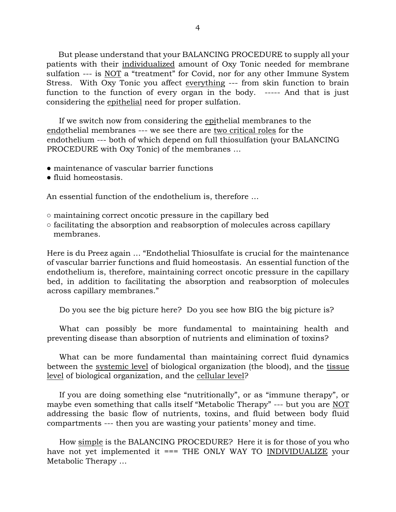But please understand that your BALANCING PROCEDURE to supply all your patients with their individualized amount of Oxy Tonic needed for membrane sulfation --- is NOT a "treatment" for Covid, nor for any other Immune System Stress. With Oxy Tonic you affect everything --- from skin function to brain function to the function of every organ in the body. ----- And that is just considering the epithelial need for proper sulfation.

 If we switch now from considering the epithelial membranes to the endothelial membranes --- we see there are two critical roles for the endothelium --- both of which depend on full thiosulfation (your BALANCING PROCEDURE with Oxy Tonic) of the membranes …

- maintenance of vascular barrier functions
- fluid homeostasis.

An essential function of the endothelium is, therefore …

- maintaining correct oncotic pressure in the capillary bed
- facilitating the absorption and reabsorption of molecules across capillary membranes.

Here is du Preez again … "Endothelial Thiosulfate is crucial for the maintenance of vascular barrier functions and fluid homeostasis. An essential function of the endothelium is, therefore, maintaining correct oncotic pressure in the capillary bed, in addition to facilitating the absorption and reabsorption of molecules across capillary membranes."

Do you see the big picture here? Do you see how BIG the big picture is?

 What can possibly be more fundamental to maintaining health and preventing disease than absorption of nutrients and elimination of toxins?

 What can be more fundamental than maintaining correct fluid dynamics between the systemic level of biological organization (the blood), and the tissue level of biological organization, and the cellular level?

 If you are doing something else "nutritionally", or as "immune therapy", or maybe even something that calls itself "Metabolic Therapy" --- but you are NOT addressing the basic flow of nutrients, toxins, and fluid between body fluid compartments --- then you are wasting your patients' money and time.

 How simple is the BALANCING PROCEDURE? Here it is for those of you who have not yet implemented it === THE ONLY WAY TO INDIVIDUALIZE your Metabolic Therapy …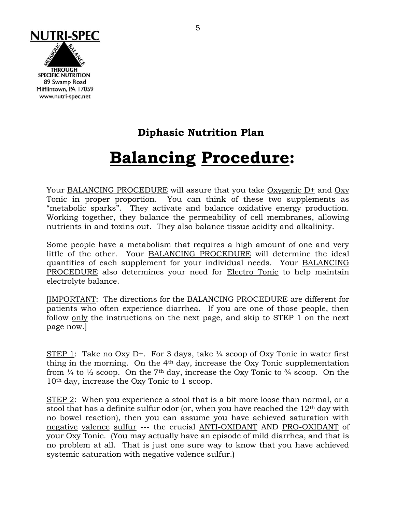

### **Diphasic Nutrition Plan**

# **Balancing Procedure:**

Your BALANCING PROCEDURE will assure that you take Oxygenic D+ and Oxy Tonic in proper proportion. You can think of these two supplements as "metabolic sparks". They activate and balance oxidative energy production. Working together, they balance the permeability of cell membranes, allowing nutrients in and toxins out. They also balance tissue acidity and alkalinity.

Some people have a metabolism that requires a high amount of one and very little of the other. Your BALANCING PROCEDURE will determine the ideal quantities of each supplement for your individual needs. Your BALANCING PROCEDURE also determines your need for Electro Tonic to help maintain electrolyte balance.

[IMPORTANT: The directions for the BALANCING PROCEDURE are different for patients who often experience diarrhea. If you are one of those people, then follow only the instructions on the next page, and skip to STEP 1 on the next page now.]

STEP 1: Take no Oxy D+. For 3 days, take  $\frac{1}{4}$  scoop of Oxy Tonic in water first thing in the morning. On the 4th day, increase the Oxy Tonic supplementation from  $\frac{1}{4}$  to  $\frac{1}{2}$  scoop. On the 7<sup>th</sup> day, increase the Oxy Tonic to  $\frac{3}{4}$  scoop. On the 10th day, increase the Oxy Tonic to 1 scoop.

STEP 2: When you experience a stool that is a bit more loose than normal, or a stool that has a definite sulfur odor (or, when you have reached the  $12<sup>th</sup>$  day with no bowel reaction), then you can assume you have achieved saturation with negative valence sulfur --- the crucial ANTI-OXIDANT AND PRO-OXIDANT of your Oxy Tonic. (You may actually have an episode of mild diarrhea, and that is no problem at all. That is just one sure way to know that you have achieved systemic saturation with negative valence sulfur.)